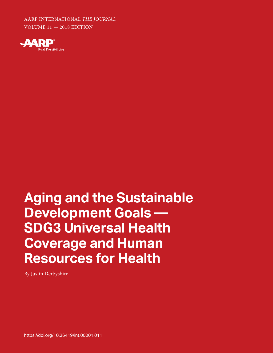**aarp international** AARP INTERNATIONAL *THE JOURNAL* VOLUME 11 — 2018 EDITION



## **L'ARAIL Resources for Health Aging and the Sustainable Development Goals — SDG3 Universal Health Coverage and Human**

By Justin Derbyshire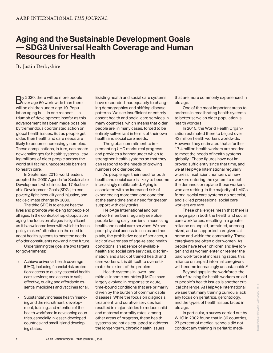## **Aging and the Sustainable Development Goals — SDG3 Universal Health Coverage and Human Resources for Health**

By Justin Derbyshire

By 2030, there will be more people<br>Sover age 60 worldwide than there<br>will be children under age 10 Popuwill be children under age 10. Population aging is — in one respect — a triumph of development insofar as this advancement has been made possible by tremendous coordinated action on global health issues. But as people get older, their health and care needs are likely to become increasingly complex. These complications, in turn, can create new challenges for health systems, leaving millions of older people across the world still facing unacceptable barriers to health care.

In September 2015, world leaders adopted the 2030 Agenda for Sustainable Development, which included 17 Sustainable Development Goals (SDGs) to end poverty, fight inequality and injustice, and tackle climate change by 2030.

The third SDG is to ensure healthy lives and promote well-being for people of all ages. In the context of rapid population aging, the focus on all ages is significant, as it is a welcome lever with which to focus policy makers' attention on the need to adapt health systems to meet the needs of older constituents now and in the future.

Underpinning the goal are two targets for governments:

- Achieve universal health coverage (UHC), including financial risk protection; access to quality essential health care services; and access to safe, effective, quality, and affordable essential medicines and vaccines for all.
- Substantially increase health financing and the recruitment, development, training, and retention of the health workforce in developing countries, especially in lesser-developed countries and small-island developing states.

Existing health and social care systems have responded inadequately to changing demographics and shifting disease patterns. We see insufficient or entirely absent health and social care services in many countries, which means that older people are, in many cases, forced to be entirely self-reliant in terms of their own health and social care needs.

The global commitment to implementing UHC marks real progress and provides a banner under which to strengthen health systems so that they can respond to the needs of growing numbers of older people.

As people age, their need for both health and social care is likely to become increasingly multifaceted. Aging is associated with an increased risk of experiencing more than one condition at the same time and a need for greater support with daily tasks.

HelpAge International and our network members regularly see older people facing daily barriers in accessing health and social care services. We see poor physical access to clinics and hospitals, the prohibitive cost of services, a lack of awareness of age-related health conditions, an absence of available health and social care services, discrimination, and a lack of trained health and care workers. It is difficult to overestimate the extent of the problem.

Health systems in lower- and middle-income countries (LMICs) have largely evolved in response to acute, time-bound conditions that are primarily driven by the burden of communicable diseases. While the focus on diagnosis, treatment, and curative services has resulted in major strides to reduce child and maternal mortality rates, among other areas of progress, these health systems are not as equipped to address the longer-term, chronic health issues

that are more commonly experienced in old age.

One of the most important areas to address in recalibrating health systems to better serve an older population is health workers.

In 2015, the World Health Organization estimated there to be just over 43 million health workers worldwide. However, they estimated that a further 17.4 million health workers are needed to meet the needs of health systems globally.1 These figures have not improved sufficiently since that time, and we at HelpAge International regularly witness insufficient numbers of new workers entering the system to meet the demands or replace those workers who are retiring. In the majority of LMICs, formal social care systems do not exist, and skilled professional social care workers are rare.

These challenges mean that there is a huge gap in both the health and social care workforces, resulting in a greater reliance on unpaid, untrained, unrecognized, and unsupported caregivers at home and within the community. These caregivers are often older women. As people have fewer children and live longer, and as women enter or reenter the paid workforce at increasing rates, this reliance on unpaid informal caregivers will become increasingly unsustainable.<sup>2</sup>

Beyond gaps in the workforce, the lack of training for health workers on older people's health issues is another critical challenge. At HelpAge International, we see that many training curricula lack any focus on geriatrics, gerontology, and the types of health issues faced in old age.

In particular, a survey carried out by WHO in 2002 found that in 36 countries. 27 percent of medical schools did not conduct any training in geriatric medi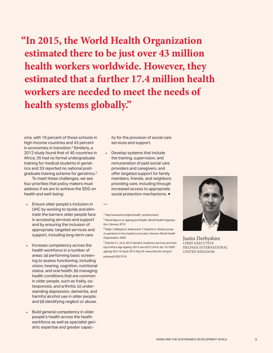**"In 2015, the World Health Organization estimated there to be just over 43 million health workers worldwide. However, they estimated that a further 17.4 million health workers are needed to meet the needs of health systems globally."**

cine, with 19 percent of those schools in high-income countries and 43 percent in economies in transition.<sup>3</sup> Similarly, a 2012 study found that of 40 countries in Africa, 35 had no formal undergraduate training for medical students in geriatrics and 33 reported no national postgraduate training scheme for geriatrics.4

To meet these challenges, we see four priorities that policy makers must address if we are to achieve the SDG on health and well-being:

- Ensure older people's inclusion in UHC by working to tackle and eliminate the barriers older people face in accessing services and support and by ensuring the inclusion of appropriate, targeted services and support, including long-term care.
- Increase competency across the health workforce in a number of areas: (a) performing basic screening to assess functioning, including vision, hearing, cognition, nutritional status, and oral health; (b) managing health conditions that are common in older people, such as frailty, osteoporosis, and arthritis; (c) understanding depression, dementia, and harmful alcohol use in older people; and (d) identifying neglect or abuse.
- Build general competency in older people's health across the health workforce as well as specialist geriatric expertise and greater capac-

ity for the provision of social care services and support.

• Develop systems that include the training, supervision, and remuneration of paid social care providers and caregivers, and offer targeted support for family members, friends, and neighbors providing care, including through increased access to appropriate social protection mechanisms. ◆

—

3 Keller I, Makipaa A, Kalenscher T, Kalache A. Global survey on geriatrics in the medical curriculum. Geneva: World Health Organization; 2002

<sup>4</sup> Dotchin C L et al, 2012 Geriatric medicine: services and training in Africa Age Ageing. 2013 Jan;42(1):124-8. doi: 10.1093/ ageing/ afs119. Epub 2012 Sep 30 www.ncbi.nlm.nih.gov/ pubmed/23027519



Justin Derbyshire CHIEF EXECUTIVE HELPAGE INTERNATIONAL UNITED KINGDOM

<sup>1</sup> http://www.who.int/gho/health\_workforce/en/

<sup>2</sup> World Report on Ageing and Health, World Health Organization, Geneva, 2015